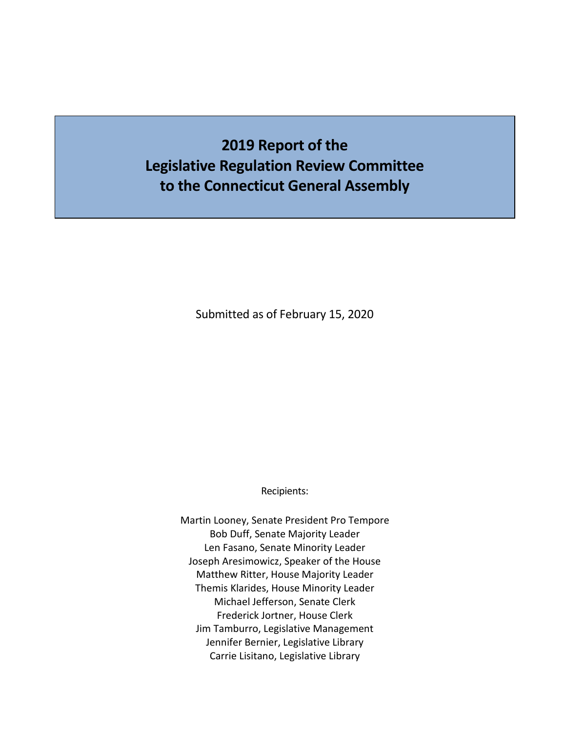# **2019 Report of the Legislative Regulation Review Committee to the Connecticut General Assembly**

Submitted as of February 15, 2020

Recipients:

Martin Looney, Senate President Pro Tempore Bob Duff, Senate Majority Leader Len Fasano, Senate Minority Leader Joseph Aresimowicz, Speaker of the House Matthew Ritter, House Majority Leader Themis Klarides, House Minority Leader Michael Jefferson, Senate Clerk Frederick Jortner, House Clerk Jim Tamburro, Legislative Management Jennifer Bernier, Legislative Library Carrie Lisitano, Legislative Library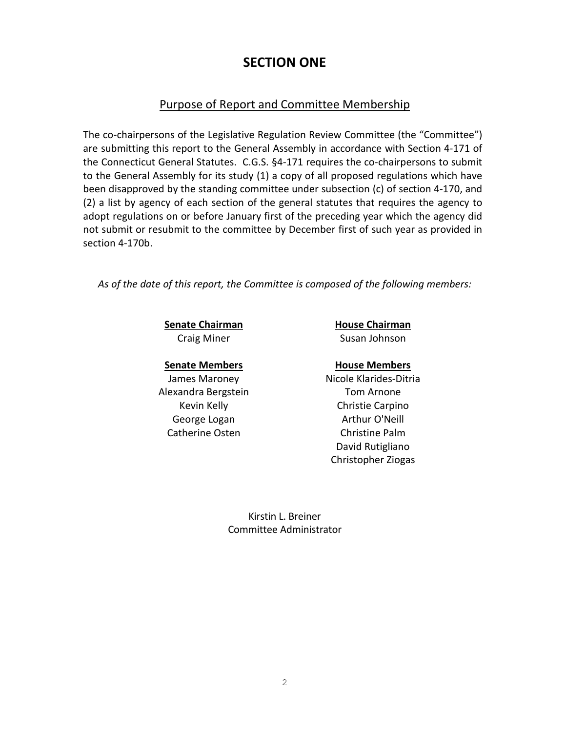## **SECTION ONE**

### Purpose of Report and Committee Membership

The co-chairpersons of the Legislative Regulation Review Committee (the "Committee") are submitting this report to the General Assembly in accordance with Section 4-171 of the Connecticut General Statutes. C.G.S. §4-171 requires the co-chairpersons to submit to the General Assembly for its study (1) a copy of all proposed regulations which have been disapproved by the standing committee under subsection (c) of section 4-170, and (2) a list by agency of each section of the general statutes that requires the agency to adopt regulations on or before January first of the preceding year which the agency did not submit or resubmit to the committee by December first of such year as provided in section 4-170b.

*As of the date of this report, the Committee is composed of the following members:*

**Senate Chairman House Chairman** 

Alexandra Bergstein Tom Arnone Catherine Osten Christine Palm

Craig Miner Susan Johnson

#### **Senate Members House Members**

James Maroney Nicole Klarides-Ditria Kevin Kelly **Christie Carpino** George Logan **Arthur O'Neill** David Rutigliano Christopher Ziogas

> Kirstin L. Breiner Committee Administrator